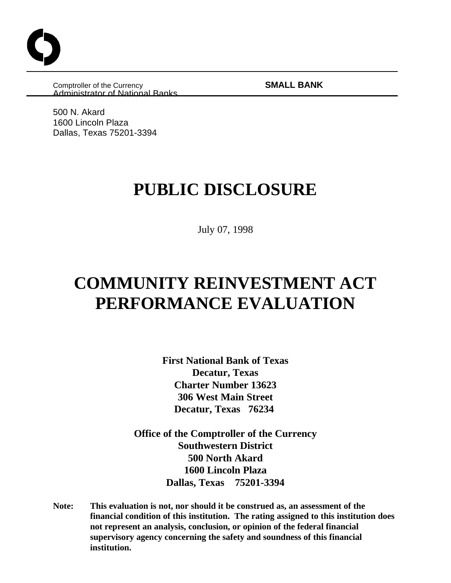Comptroller of the Currency **SMALL BANK**  Administrator of National Banks

500 N. Akard 1600 Lincoln Plaza Dallas, Texas 75201-3394

# **PUBLIC DISCLOSURE**

July 07, 1998

# **COMMUNITY REINVESTMENT ACT PERFORMANCE EVALUATION**

**First National Bank of Texas Decatur, Texas Charter Number 13623 306 West Main Street Decatur, Texas 76234** 

**Office of the Comptroller of the Currency Southwestern District 500 North Akard 1600 Lincoln Plaza Dallas, Texas 75201-3394**

**Note: This evaluation is not, nor should it be construed as, an assessment of the financial condition of this institution. The rating assigned to this institution does not represent an analysis, conclusion, or opinion of the federal financial supervisory agency concerning the safety and soundness of this financial institution.**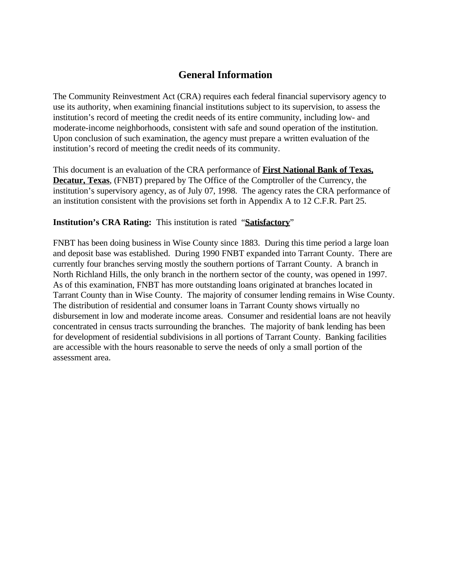## **General Information**

The Community Reinvestment Act (CRA) requires each federal financial supervisory agency to use its authority, when examining financial institutions subject to its supervision, to assess the institution's record of meeting the credit needs of its entire community, including low- and moderate-income neighborhoods, consistent with safe and sound operation of the institution. Upon conclusion of such examination, the agency must prepare a written evaluation of the institution's record of meeting the credit needs of its community.

This document is an evaluation of the CRA performance of **First National Bank of Texas, Decatur, Texas**, (FNBT) prepared by The Office of the Comptroller of the Currency, the institution's supervisory agency, as of July 07, 1998. The agency rates the CRA performance of an institution consistent with the provisions set forth in Appendix A to 12 C.F.R. Part 25.

#### **Institution's CRA Rating:** This institution is rated "**Satisfactory**"

FNBT has been doing business in Wise County since 1883. During this time period a large loan and deposit base was established. During 1990 FNBT expanded into Tarrant County. There are currently four branches serving mostly the southern portions of Tarrant County. A branch in North Richland Hills, the only branch in the northern sector of the county, was opened in 1997. As of this examination, FNBT has more outstanding loans originated at branches located in Tarrant County than in Wise County. The majority of consumer lending remains in Wise County. The distribution of residential and consumer loans in Tarrant County shows virtually no disbursement in low and moderate income areas. Consumer and residential loans are not heavily concentrated in census tracts surrounding the branches. The majority of bank lending has been for development of residential subdivisions in all portions of Tarrant County. Banking facilities are accessible with the hours reasonable to serve the needs of only a small portion of the assessment area.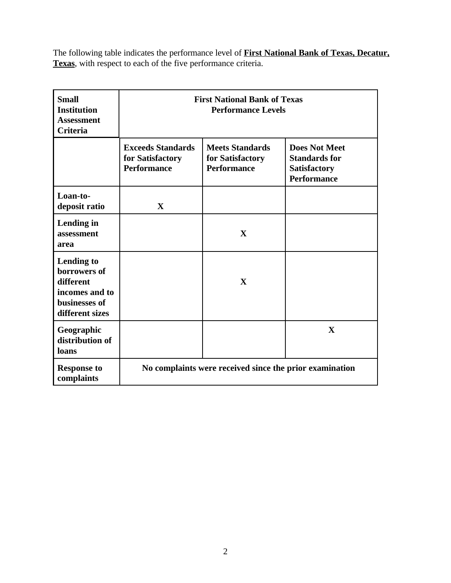The following table indicates the performance level of **First National Bank of Texas, Decatur, Texas**, with respect to each of the five performance criteria.

| <b>Small</b><br><b>Institution</b><br><b>Assessment</b><br><b>Criteria</b>                           | <b>First National Bank of Texas</b><br><b>Performance Levels</b>   |                                                                  |                                                                                           |  |
|------------------------------------------------------------------------------------------------------|--------------------------------------------------------------------|------------------------------------------------------------------|-------------------------------------------------------------------------------------------|--|
|                                                                                                      | <b>Exceeds Standards</b><br>for Satisfactory<br><b>Performance</b> | <b>Meets Standards</b><br>for Satisfactory<br><b>Performance</b> | <b>Does Not Meet</b><br><b>Standards for</b><br><b>Satisfactory</b><br><b>Performance</b> |  |
| Loan-to-<br>deposit ratio                                                                            | $\mathbf{X}$                                                       |                                                                  |                                                                                           |  |
| Lending in<br>assessment<br>area                                                                     |                                                                    | X                                                                |                                                                                           |  |
| <b>Lending to</b><br>borrowers of<br>different<br>incomes and to<br>businesses of<br>different sizes |                                                                    | $\mathbf{X}$                                                     |                                                                                           |  |
| Geographic<br>distribution of<br>loans                                                               |                                                                    |                                                                  | $\mathbf{X}$                                                                              |  |
| <b>Response to</b><br>complaints                                                                     | No complaints were received since the prior examination            |                                                                  |                                                                                           |  |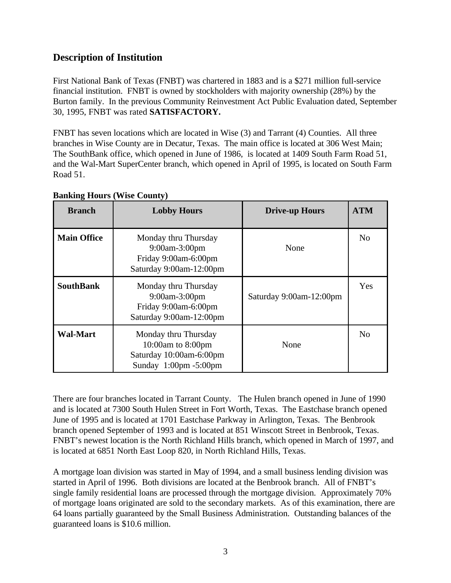## **Description of Institution**

First National Bank of Texas (FNBT) was chartered in 1883 and is a \$271 million full-service financial institution. FNBT is owned by stockholders with majority ownership (28%) by the Burton family. In the previous Community Reinvestment Act Public Evaluation dated, September 30, 1995, FNBT was rated **SATISFACTORY.**

FNBT has seven locations which are located in Wise (3) and Tarrant (4) Counties. All three branches in Wise County are in Decatur, Texas. The main office is located at 306 West Main; The SouthBank office, which opened in June of 1986, is located at 1409 South Farm Road 51, and the Wal-Mart SuperCenter branch, which opened in April of 1995, is located on South Farm Road 51.

| <b>Branch</b>      | <b>Lobby Hours</b>                                                                                                  | <b>Drive-up Hours</b>   | <b>ATM</b>     |
|--------------------|---------------------------------------------------------------------------------------------------------------------|-------------------------|----------------|
| <b>Main Office</b> | Monday thru Thursday<br>9:00am-3:00pm<br>Friday 9:00am-6:00pm<br>Saturday 9:00am-12:00pm                            | None                    | N <sub>0</sub> |
| <b>SouthBank</b>   | Monday thru Thursday<br>9:00am-3:00pm<br>Friday 9:00am-6:00pm<br>Saturday 9:00am-12:00pm                            | Saturday 9:00am-12:00pm | Yes            |
| <b>Wal-Mart</b>    | Monday thru Thursday<br>10:00am to $8:00$ pm<br>Saturday 10:00am-6:00pm<br>Sunday $1:00 \text{pm} - 5:00 \text{pm}$ | None                    | No             |

#### **Banking Hours (Wise County)**

There are four branches located in Tarrant County. The Hulen branch opened in June of 1990 and is located at 7300 South Hulen Street in Fort Worth, Texas. The Eastchase branch opened June of 1995 and is located at 1701 Eastchase Parkway in Arlington, Texas. The Benbrook branch opened September of 1993 and is located at 851 Winscott Street in Benbrook, Texas. FNBT's newest location is the North Richland Hills branch, which opened in March of 1997, and is located at 6851 North East Loop 820, in North Richland Hills, Texas.

A mortgage loan division was started in May of 1994, and a small business lending division was started in April of 1996. Both divisions are located at the Benbrook branch. All of FNBT's single family residential loans are processed through the mortgage division. Approximately 70% of mortgage loans originated are sold to the secondary markets. As of this examination, there are 64 loans partially guaranteed by the Small Business Administration. Outstanding balances of the guaranteed loans is \$10.6 million.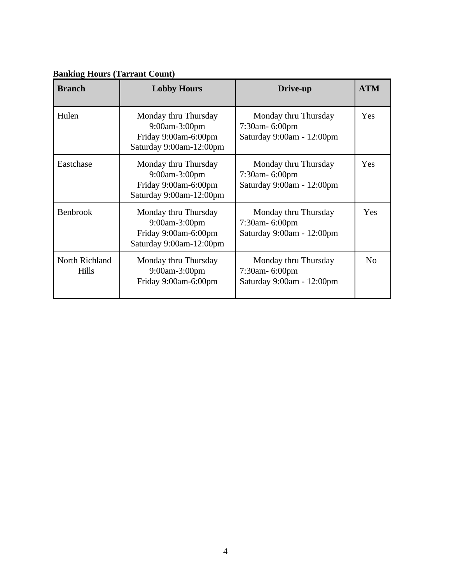| <b>Branch</b>                  | <b>Lobby Hours</b>                                                                       | Drive-up                                                               | <b>ATM</b>     |
|--------------------------------|------------------------------------------------------------------------------------------|------------------------------------------------------------------------|----------------|
| Hulen                          | Monday thru Thursday<br>9:00am-3:00pm<br>Friday 9:00am-6:00pm<br>Saturday 9:00am-12:00pm | Monday thru Thursday<br>7:30am- 6:00pm<br>Saturday 9:00am - 12:00pm    | Yes            |
| Eastchase                      | Monday thru Thursday<br>9:00am-3:00pm<br>Friday 9:00am-6:00pm<br>Saturday 9:00am-12:00pm | Monday thru Thursday<br>7:30am- 6:00pm<br>Saturday 9:00am - 12:00pm    | Yes            |
| Benbrook                       | Monday thru Thursday<br>9:00am-3:00pm<br>Friday 9:00am-6:00pm<br>Saturday 9:00am-12:00pm | Monday thru Thursday<br>7:30am- 6:00pm<br>Saturday 9:00am - 12:00pm    | Yes            |
| North Richland<br><b>Hills</b> | Monday thru Thursday<br>9:00am-3:00pm<br>Friday 9:00am-6:00pm                            | Monday thru Thursday<br>$7:30$ am- 6:00pm<br>Saturday 9:00am - 12:00pm | N <sub>o</sub> |

## **Banking Hours (Tarrant Count)**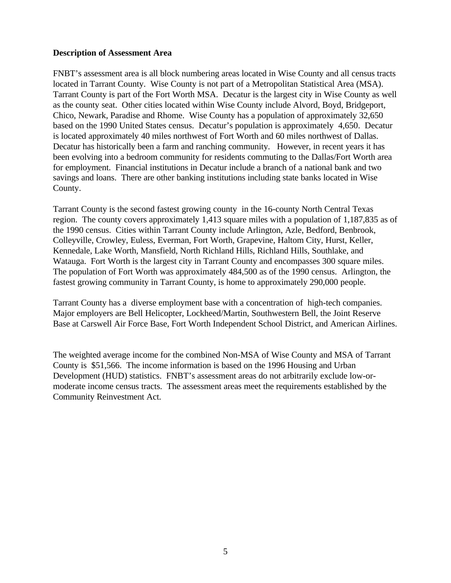#### **Description of Assessment Area**

FNBT's assessment area is all block numbering areas located in Wise County and all census tracts located in Tarrant County. Wise County is not part of a Metropolitan Statistical Area (MSA). Tarrant County is part of the Fort Worth MSA. Decatur is the largest city in Wise County as well as the county seat. Other cities located within Wise County include Alvord, Boyd, Bridgeport, Chico, Newark, Paradise and Rhome. Wise County has a population of approximately 32,650 based on the 1990 United States census. Decatur's population is approximately 4,650. Decatur is located approximately 40 miles northwest of Fort Worth and 60 miles northwest of Dallas. Decatur has historically been a farm and ranching community. However, in recent years it has been evolving into a bedroom community for residents commuting to the Dallas/Fort Worth area for employment. Financial institutions in Decatur include a branch of a national bank and two savings and loans. There are other banking institutions including state banks located in Wise County.

Tarrant County is the second fastest growing county in the 16-county North Central Texas region. The county covers approximately 1,413 square miles with a population of 1,187,835 as of the 1990 census. Cities within Tarrant County include Arlington, Azle, Bedford, Benbrook, Colleyville, Crowley, Euless, Everman, Fort Worth, Grapevine, Haltom City, Hurst, Keller, Kennedale, Lake Worth, Mansfield, North Richland Hills, Richland Hills, Southlake, and Watauga. Fort Worth is the largest city in Tarrant County and encompasses 300 square miles. The population of Fort Worth was approximately 484,500 as of the 1990 census. Arlington, the fastest growing community in Tarrant County, is home to approximately 290,000 people.

Tarrant County has a diverse employment base with a concentration of high-tech companies. Major employers are Bell Helicopter, Lockheed/Martin, Southwestern Bell, the Joint Reserve Base at Carswell Air Force Base, Fort Worth Independent School District, and American Airlines.

The weighted average income for the combined Non-MSA of Wise County and MSA of Tarrant County is \$51,566. The income information is based on the 1996 Housing and Urban Development (HUD) statistics. FNBT's assessment areas do not arbitrarily exclude low-ormoderate income census tracts. The assessment areas meet the requirements established by the Community Reinvestment Act.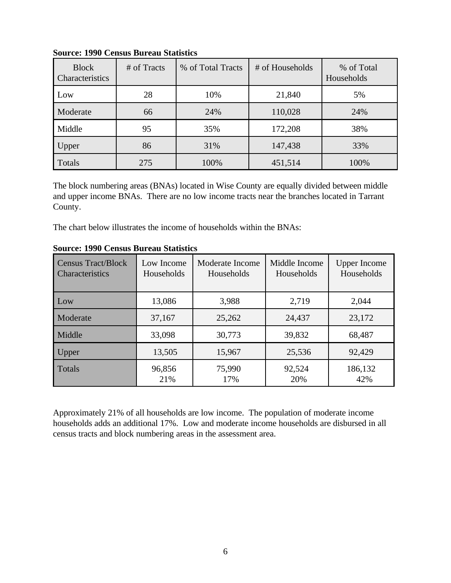| <b>Block</b><br>Characteristics | # of Tracts | % of Total Tracts | # of Households | % of Total<br>Households |
|---------------------------------|-------------|-------------------|-----------------|--------------------------|
| Low                             | 28          | 10%               | 21,840          | 5%                       |
| Moderate                        | 66          | 24%               | 110,028         | 24%                      |
| Middle                          | 95          | 35%               | 172,208         | 38%                      |
| Upper                           | 86          | 31%               | 147,438         | 33%                      |
| Totals                          | 275         | 100%              | 451,514         | 100%                     |

**Source: 1990 Census Bureau Statistics**

The block numbering areas (BNAs) located in Wise County are equally divided between middle and upper income BNAs. There are no low income tracts near the branches located in Tarrant County.

The chart below illustrates the income of households within the BNAs:

| <b>Census Tract/Block</b><br><b>Characteristics</b> | Low Income<br>Households | Moderate Income<br>Households | Middle Income<br>Households | <b>Upper Income</b><br>Households |
|-----------------------------------------------------|--------------------------|-------------------------------|-----------------------------|-----------------------------------|
| Low                                                 | 13,086                   | 3,988                         | 2,719                       | 2,044                             |
| Moderate                                            | 37,167                   | 25,262                        | 24,437                      | 23,172                            |
| Middle                                              | 33,098                   | 30,773                        | 39,832                      | 68,487                            |
| Upper                                               | 13,505                   | 15,967                        | 25,536                      | 92,429                            |
| Totals                                              | 96,856<br>21%            | 75,990<br>17%                 | 92,524<br>20%               | 186,132<br>42%                    |

**Source: 1990 Census Bureau Statistics** 

Approximately 21% of all households are low income. The population of moderate income households adds an additional 17%. Low and moderate income households are disbursed in all census tracts and block numbering areas in the assessment area.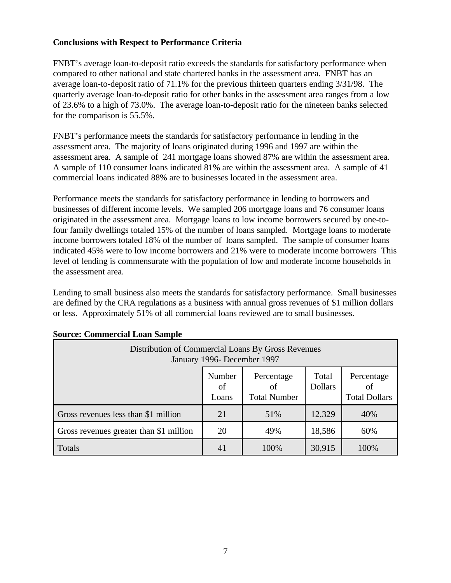### **Conclusions with Respect to Performance Criteria**

FNBT's average loan-to-deposit ratio exceeds the standards for satisfactory performance when compared to other national and state chartered banks in the assessment area. FNBT has an average loan-to-deposit ratio of 71.1% for the previous thirteen quarters ending 3/31/98. The quarterly average loan-to-deposit ratio for other banks in the assessment area ranges from a low of 23.6% to a high of 73.0%. The average loan-to-deposit ratio for the nineteen banks selected for the comparison is 55.5%.

FNBT's performance meets the standards for satisfactory performance in lending in the assessment area. The majority of loans originated during 1996 and 1997 are within the assessment area. A sample of 241 mortgage loans showed 87% are within the assessment area. A sample of 110 consumer loans indicated 81% are within the assessment area. A sample of 41 commercial loans indicated 88% are to businesses located in the assessment area.

Performance meets the standards for satisfactory performance in lending to borrowers and businesses of different income levels. We sampled 206 mortgage loans and 76 consumer loans originated in the assessment area. Mortgage loans to low income borrowers secured by one-tofour family dwellings totaled 15% of the number of loans sampled. Mortgage loans to moderate income borrowers totaled 18% of the number of loans sampled. The sample of consumer loans indicated 45% were to low income borrowers and 21% were to moderate income borrowers This level of lending is commensurate with the population of low and moderate income households in the assessment area.

Lending to small business also meets the standards for satisfactory performance. Small businesses are defined by the CRA regulations as a business with annual gross revenues of \$1 million dollars or less. Approximately 51% of all commercial loans reviewed are to small businesses.

| Distribution of Commercial Loans By Gross Revenues<br>January 1996- December 1997 |                       |                                         |                         |                                          |  |
|-----------------------------------------------------------------------------------|-----------------------|-----------------------------------------|-------------------------|------------------------------------------|--|
|                                                                                   | Number<br>of<br>Loans | Percentage<br>of<br><b>Total Number</b> | Total<br><b>Dollars</b> | Percentage<br>οf<br><b>Total Dollars</b> |  |
| Gross revenues less than \$1 million                                              | 21                    | 51%                                     | 12,329                  | 40%                                      |  |
| Gross revenues greater than \$1 million                                           | 20                    | 49%                                     | 18,586                  | 60%                                      |  |
| Totals                                                                            | 41                    | 100%                                    | 30,915                  | 100%                                     |  |

#### **Source: Commercial Loan Sample**